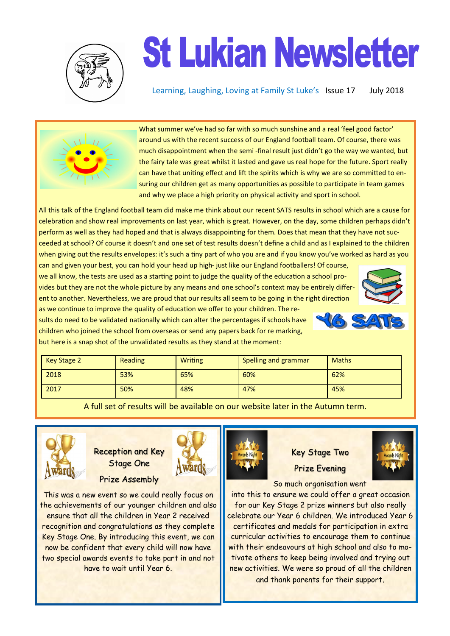

## **St Lukian Newsletter**

Learning, Laughing, Loving at Family St Luke's Issue 17 July 2018



What summer we've had so far with so much sunshine and a real 'feel good factor' around us with the recent success of our England football team. Of course, there was much disappointment when the semi -final result just didn't go the way we wanted, but the fairy tale was great whilst it lasted and gave us real hope for the future. Sport really can have that uniting effect and lift the spirits which is why we are so committed to ensuring our children get as many opportunities as possible to participate in team games and why we place a high priority on physical activity and sport in school.

All this talk of the England football team did make me think about our recent SATS results in school which are a cause for celebration and show real improvements on last year, which is great. However, on the day, some children perhaps didn't perform as well as they had hoped and that is always disappointing for them. Does that mean that they have not succeeded at school? Of course it doesn't and one set of test results doesn't define a child and as I explained to the children when giving out the results envelopes: it's such a tiny part of who you are and if you know you've worked as hard as you

can and given your best, you can hold your head up high- just like our England footballers! Of course, we all know, the tests are used as a starting point to judge the quality of the education a school provides but they are not the whole picture by any means and one school's context may be entirely different to another. Nevertheless, we are proud that our results all seem to be going in the right direction



sults do need to be validated nationally which can alter the percentages if schools have children who joined the school from overseas or send any papers back for re marking, but here is a snap shot of the unvalidated results as they stand at the moment:

as we continue to improve the quality of education we offer to your children. The re-

| Key Stage 2 | Reading | <b>Writing</b> | Spelling and grammar | <b>Maths</b> |
|-------------|---------|----------------|----------------------|--------------|
| 2018        | 53%     | 65%            | 60%                  | 62%          |
| 2017        | 50%     | 48%            | 47%                  | 45%          |

A full set of results will be available on our website later in the Autumn term.



Reception and Key Stage One

Prize Assembly



This was a new event so we could really focus on the achievements of our younger children and also ensure that all the children in Year 2 received recognition and congratulations as they complete Key Stage One. By introducing this event, we can now be confident that every child will now have two special awards events to take part in and not have to wait until Year 6.



## Key Stage Two Prize Evening



So much organisation went

into this to ensure we could offer a great occasion for our Key Stage 2 prize winners but also really celebrate our Year 6 children. We introduced Year 6 certificates and medals for participation in extra curricular activities to encourage them to continue with their endeavours at high school and also to motivate others to keep being involved and trying out new activities. We were so proud of all the children and thank parents for their support.